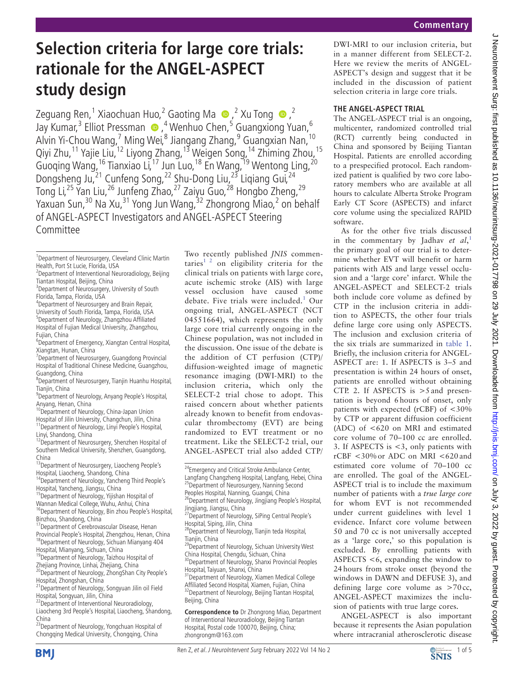# **Selection criteria for large core trials: rationale for the ANGEL-ASPECT study design**

Zeguang Ren,<sup>1</sup> Xiaochuan Huo,<sup>2</sup> Gaoting Ma  $\bullet$ ,<sup>2</sup> Xu Tong  $\bullet$ ,<sup>2</sup> Jay Kumar,<sup>3</sup> Elliot Pressman (D, <sup>4</sup> Wenhuo Chen, <sup>5</sup> Guangxiong Yuan, <sup>6</sup> Alvin Yi-Chou Wang,<sup>7</sup> Ming Wei,<sup>8</sup> Jiangang Zhang,<sup>9</sup> Guangxian Nan,<sup>10</sup> Qiyi Zhu,11 Yajie Liu,12 Liyong Zhang,13 Weigen Song,14 Zhiming Zhou,15 Guoqing Wang, <sup>16</sup> Tianxiao Li, <sup>17</sup> Jun Luo, <sup>18</sup> En Wang, <sup>19</sup> Wentong Ling, <sup>20</sup> Dongsheng Ju,<sup>21</sup> Cunfeng Song,<sup>22</sup> Shu-Dong Liu,<sup>23</sup> Liqiang Gui,<sup>24</sup> Tong Li,<sup>25</sup> Yan Liu,<sup>26</sup> Junfeng Zhao,<sup>27</sup> Zaiyu Guo,<sup>28</sup> Hongbo Zheng,<sup>29</sup> Yaxuan Sun,<sup>30</sup> Na Xu,<sup>31</sup> Yong Jun Wang,<sup>32</sup> Zhongrong Miao,<sup>2</sup> on behalf of ANGEL-ASPECT Investigators and ANGEL-ASPECT Steering Committee

- <sup>2</sup>Department of Interventional Neuroradiology, Beijing Tiantan Hospital, Beijing, China
- <sup>3</sup>Department of Neurosurgery, University of South Florida, Tampa, Florida, USA
- 4 Department of Neurosurgery and Brain Repair,
- University of South Florida, Tampa, Florida, USA 5 Department of Neurology, Zhangzhou Affiliated
- Hospital of Fujian Medical University, Zhangzhou, Fujian, China
- 6 Department of Emergency, Xiangtan Central Hospital, Xiangtan, Hunan, China
- <sup>7</sup>Department of Neurosurgery, Guangdong Provincial Hospital of Traditional Chinese Medicine, Guangzhou, Guangdong, China
- 8 Department of Neurosurgery, Tianjin Huanhu Hospital, Tianiin, China
- 9 Department of Neurology, Anyang People's Hospital, Anyang, Henan, China
- 10 Department of Neurology, China-Japan Union
- Hospital of Jilin University, Changchun, Jilin, China 11Department of Neurology, Linyi People's Hospital,
- Linyi, Shandong, China<br><sup>12</sup>Department of Neurosurgery, Shenzhen Hospital of Southern Medical University, Shenzhen, Guangdong, China
- <sup>13</sup> Department of Neurosurgery, Liaocheng People's
- Hospital, Liaocheng, Shandong, China 14Department of Neurology, Yancheng Third People's Hospital, Yancheng, Jiangsu, China
- 15Department of Neurology, Yijishan Hospital of
- Wannan Medical College, Wuhu, Anhui, China
- <sup>16</sup>Department of Neurology, Bin zhou People's Hospital, Binzhou, Shandong, China
- <sup>17</sup> Department of Cerebrovascular Disease, Henan Provincial People's Hospital, Zhengzhou, Henan, China 18Department of Neurology, Sichuan Mianyang 404 Hospital, Mianyang, Sichuan, China
- <sup>19</sup>Department of Neurology, Taizhou Hospital of
- Zhejiang Province, Linhai, Zhejiang, China<br><sup>20</sup>Department of Neurology, ZhongShan City People's
- Hospital, Zhongshan, China 21Department of Neurology, Songyuan Jilin oil Field
- Hospital, Songyuan, Jilin, China <sup>22</sup>Department of Interventional Neuroradiology,
- Liaocheng 3rd People's Hospital, Liaocheng, Shandong, China
- <sup>23</sup>Department of Neurology, Yongchuan Hospital of Chongqing Medical University, Chongqing, China

Two recently published *JNIS* commentaries<sup>1 2</sup> on eligibility criteria for the clinical trials on patients with large core, acute ischemic stroke (AIS) with large vessel occlusion have caused some debate. Five trials were included.<sup>1</sup> Our ongoing trial, ANGEL-ASPECT (NCT 04551664), which represents the only large core trial currently ongoing in the Chinese population, was not included in the discussion. One issue of the debate is the addition of CT perfusion (CTP)/ diffusion-weighted image of magnetic resonance imaging (DWI-MRI) to the inclusion criteria, which only the SELECT-2 trial chose to adopt. This raised concern about whether patients already known to benefit from endovascular thrombectomy (EVT) are being randomized to EVT treatment or no treatment. Like the SELECT-2 trial, our ANGEL-ASPECT trial also added CTP/

- 28Department of Neurology, Tianjin teda Hospital, Tianjin, China
- <sup>29</sup>Department of Neurology, Sichuan University West China Hospital, Chengdu, Sichuan, China
- 30Department of Neurology, Shanxi Provincial Peoples Hospital, Taiyuan, Shanxi, China 31Department of Neurology, Xiamen Medical College
- Affiliated Second Hospital, Xiamen, Fujian, China <sup>32</sup>Department of Neurology, Beijing Tiantan Hospital, Beijing, China

**Correspondence to** Dr Zhongrong Miao, Department of Interventional Neuroradiology, Beijing Tiantan Hospital, Postal code 100070, Beijing, China; zhongrongm@163.com

DWI-MRI to our inclusion criteria, but in a manner different from SELECT-2. Here we review the merits of ANGEL-ASPECT's design and suggest that it be included in the discussion of patient selection criteria in large core trials.

# **The ANGEL-ASPECT trial**

The ANGEL-ASPECT trial is an ongoing, multicenter, randomized controlled trial (RCT) currently being conducted in China and sponsored by Beijing Tiantan Hospital. Patients are enrolled according to a prespecified protocol. Each randomized patient is qualified by two core laboratory members who are available at all hours to calculate Alberta Stroke Program Early CT Score (ASPECTS) and infarct core volume using the specialized RAPID software.

As for the other five trials discussed in the commentary by Jadhav *et al*, 1 the primary goal of our trial is to determine whether EVT will benefit or harm patients with AIS and large vessel occlusion and a 'large core' infarct. While the ANGEL-ASPECT and SELECT-2 trials both include core volume as defined by CTP in the inclusion criteria in addition to ASPECTS, the other four trials define large core using only ASPECTS. The inclusion and exclusion criteria of the six trials are summarized in table 1. Briefly, the inclusion criteria for ANGEL-ASPECT are: 1. If ASPECTS is 3–5 and presentation is within 24 hours of onset, patients are enrolled without obtaining CTP. 2. If ASPECTS is  $>5$  and presentation is beyond 6 hours of onset, only patients with expected (rCBF) of <30% by CTP or apparent diffusion coefficient (ADC) of <620 on MRI and estimated core volume of 70–100 cc are enrolled. 3. If ASPECTS is <3, only patients with rCBF <30%or ADC on MRI <620 and estimated core volume of 70–100 cc are enrolled. The goal of the ANGEL-ASPECT trial is to include the maximum number of patients with a *true large core* for whom EVT is not recommended under current guidelines with level 1 evidence. Infarct core volume between 50 and 70 cc is not universally accepted as a 'large core,' so this population is excluded. By enrolling patients with ASPECTS <6, expanding the window to 24 hours from stroke onset (beyond the windows in DAWN and DEFUSE 3), and defining large core volume as >70 cc, ANGEL-ASPECT maximizes the inclusion of patients with true large cores.

ANGEL-ASPECT is also important because it represents the Asian population where intracranial atherosclerotic disease





<sup>&</sup>lt;sup>1</sup>Department of Neurosurgery, Cleveland Clinic Martin Health, Port St Lucie, Florida, USA

<sup>&</sup>lt;sup>24</sup>Emergency and Critical Stroke Ambulance Center, Langfang Changzheng Hospital, Langfang, Hebei, China <sup>25</sup>Department of Neurosurgery, Nanning Second Peoples Hospital, Nanning, Guangxi, China<br><sup>26</sup>Department of Neurology, Jingjiang People's Hospital,

Jingjiang, Jiangsu, China

<sup>&</sup>lt;sup>27</sup>Department of Neurology, SiPing Central People's Hospital, Siping, Jilin, China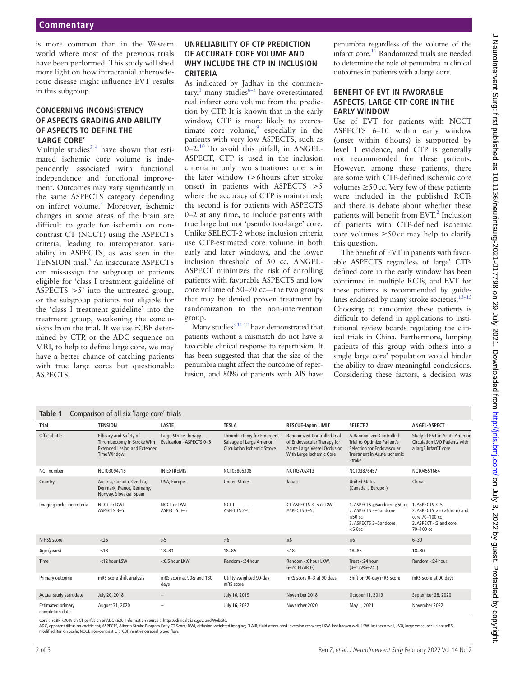is more common than in the Western world where most of the previous trials have been performed. This study will shed more light on how intracranial atherosclerotic disease might influence EVT results in this subgroup.

### **Concerning inconsistency of ASPECTS grading and ability of ASPECTS to define the 'large core'**

Multiple studies<sup>34</sup> have shown that estimated ischemic core volume is independently associated with functional independence and functional improvement. Outcomes may vary significantly in the same ASPECTS category depending on infarct volume.<sup>4</sup> Moreover, ischemic changes in some areas of the brain are difficult to grade for ischemia on noncontrast CT (NCCT) using the ASPECTS criteria, leading to interoperator variability in ASPECTS, as was seen in the TENSION trial.<sup>5</sup> An inaccurate ASPECTS can mis-assign the subgroup of patients eligible for 'class I treatment guideline of ASPECTS  $>5'$  into the untreated group, or the subgroup patients not eligible for the 'class I treatment guideline' into the treatment group, weakening the conclusions from the trial. If we use rCBF determined by CTP, or the ADC sequence on MRI, to help to define large core, we may have a better chance of catching patients with true large cores but questionable ASPECTS.

#### **Unreliability of CTP prediction of accurate core volume and why include the CTP in inclusion criteria**

As indicated by Jadhav in the commentary,<sup>1</sup> many studies<sup>6-8</sup> have overestimated real infarct core volume from the prediction by CTP. It is known that in the early window, CTP is more likely to overestimate core volume, $9$  especially in the patients with very low ASPECTS, such as  $0-2$ <sup>10</sup> To avoid this pitfall, in ANGEL-ASPECT, CTP is used in the inclusion criteria in only two situations: one is in the later window (>6hours after stroke onset) in patients with ASPECTS >5 where the accuracy of CTP is maintained; the second is for patients with ASPECTS 0–2 at any time, to include patients with true large but not 'pseudo too-large' core. Unlike SELECT-2 whose inclusion criteria use CTP-estimated core volume in both early and later windows, and the lower inclusion threshold of 50 cc, ANGEL-ASPECT minimizes the risk of enrolling patients with favorable ASPECTS and low core volume of 50–70 cc—the two groups that may be denied proven treatment by randomization to the non-intervention group.

Many studies<sup>3 11 12</sup> have demonstrated that patients without a mismatch do not have a favorable clinical response to reperfusion. It has been suggested that that the size of the penumbra might affect the outcome of reperfusion, and 80% of patients with AIS have penumbra regardless of the volume of the infarct core.<sup>11</sup> Randomized trials are needed to determine the role of penumbra in clinical outcomes in patients with a large core.

## **Benefit of EVT in favorable aspects, large CTP core in the early window**

Use of EVT for patients with NCCT ASPECTS 6–10 within early window (onset within 6hours) is supported by level 1 evidence, and CTP is generally not recommended for these patients. However, among these patients, there are some with CTP-defined ischemic core volumes  $\geq 50$  cc. Very few of these patients were included in the published RCTs and there is debate about whether these patients will benefit from EVT.<sup>2</sup> Inclusion of patients with CTP-defined ischemic core volumes  $\geq 50$ cc may help to clarify this question.

The benefit of EVT in patients with favorable ASPECTS regardless of large' CTPdefined core in the early window has been confirmed in multiple RCTs, and EVT for these patients is recommended by guidelines endorsed by many stroke societies.<sup>13-15</sup> Choosing to randomize these patients is difficult to defend in applications to institutional review boards regulating the clinical trials in China. Furthermore, lumping patients of this group with others into a single large core' population would hinder the ability to draw meaningful conclusions. Considering these factors, a decision was

| Comparison of all six 'large core' trials<br>Table 1 |                                                                                                                    |                                                  |                                                                                       |                                                                                                                               |                                                                                                                                      |                                                                                                            |
|------------------------------------------------------|--------------------------------------------------------------------------------------------------------------------|--------------------------------------------------|---------------------------------------------------------------------------------------|-------------------------------------------------------------------------------------------------------------------------------|--------------------------------------------------------------------------------------------------------------------------------------|------------------------------------------------------------------------------------------------------------|
| Trial                                                | <b>TENSION</b>                                                                                                     | <b>LASTE</b>                                     | <b>TESLA</b>                                                                          | <b>RESCUE-Japan LIMIT</b>                                                                                                     | SELECT-2                                                                                                                             | ANGEL-ASPECT                                                                                               |
| Official title                                       | <b>Efficacy and Safety of</b><br>Thrombectomy in Stroke With<br><b>Extended Lesion and Extended</b><br>Time Window | Large Stroke Therapy<br>Evaluation - ASPECTS 0-5 | Thrombectomy for Emergent<br>Salvage of Large Anterior<br>Circulation Ischemic Stroke | <b>Randomized Controlled Trial</b><br>of Endovascular Therapy for<br>Acute Large Vessel Occlusion<br>With Large Ischemic Core | A Randomized Controlled<br>Trial to Optimize Patient's<br>Selection for Endovascular<br><b>Treatment in Acute Ischemic</b><br>Stroke | Study of EVT in Acute Anterior<br>Circulation LVO Patients with<br>a largE infarCT core                    |
| NCT number                                           | NCT03094715                                                                                                        | <b>IN EXTREMIS</b>                               | NCT03805308                                                                           | NCT03702413                                                                                                                   | NCT03876457                                                                                                                          | NCT04551664                                                                                                |
| Country                                              | Austria, Canada, Czechia,<br>Denmark, France, Germany,<br>Norway, Slovakia, Spain                                  | USA, Europe                                      | <b>United States</b>                                                                  | Japan                                                                                                                         | <b>United States</b><br>(Canada, Europe)                                                                                             | China                                                                                                      |
| Imaging inclusion criteria                           | NCCT or DWI<br>ASPECTS 3-5                                                                                         | NCCT or DWI<br>ASPECTS 0-5                       | <b>NCCT</b><br>ASPECTS 2-5                                                            | CT-ASPECTS 3-5 or DWI-<br>ASPECTS 3-5:                                                                                        | 1. ASPECTS ≥6andcore ≥50 cc<br>2. ASPECTS 3-5andcore<br>$>50$ cc<br>3. ASPECTS 3-5andcore<br>$<$ 50 $cc$                             | 1. ASPECTS 3-5<br>2. ASPECTS $>5$ ( $>6$ hour) and<br>core 70-100 cc<br>3. ASPECT <3 and core<br>70-100 cc |
| NIHSS score                                          | < 26                                                                                                               | >5                                               | >6                                                                                    | $\geq 6$                                                                                                                      | $\geq 6$                                                                                                                             | $6 - 30$                                                                                                   |
| Age (years)                                          | >18                                                                                                                | $18 - 80$                                        | $18 - 85$                                                                             | $>18$                                                                                                                         | $18 - 85$                                                                                                                            | $18 - 80$                                                                                                  |
| Time                                                 | <12 hour LSW                                                                                                       | <6.5 hour LKW                                    | Random <24 hour                                                                       | Random <6 hour LKW.<br>6-24 FLAIR (-)                                                                                         | Treat $<$ 24 hour<br>$(0-12vs6-24)$                                                                                                  | Random <24 hour                                                                                            |
| Primary outcome                                      | mRS score shift analysis                                                                                           | mRS score at 90& and 180<br>days                 | Utility-weighted 90-day<br>mRS score                                                  | mRS score 0-3 at 90 days                                                                                                      | Shift on 90-day mRS score                                                                                                            | mRS score at 90 days                                                                                       |
| Actual study start date                              | July 20, 2018                                                                                                      |                                                  | July 16, 2019                                                                         | November 2018                                                                                                                 | October 11, 2019                                                                                                                     | September 28, 2020                                                                                         |
| <b>Estimated primary</b><br>completion date          | August 31, 2020                                                                                                    |                                                  | July 16, 2022                                                                         | November 2020                                                                                                                 | May 1, 2021                                                                                                                          | November 2022                                                                                              |

Core: rCBF <30% on CT perfusion or ADC<620; Information source: https://clinicaltrials.gov. and Website

ADC, apparent diffusion coefficient; ASPECTS, Alberta Stroke Program Early CT Score; DWI, diffusion-weighted imaging; FLAIR, fluid attenuated inversion recovery; LKW, last known well; LSW, last seen well; LVO, large vessel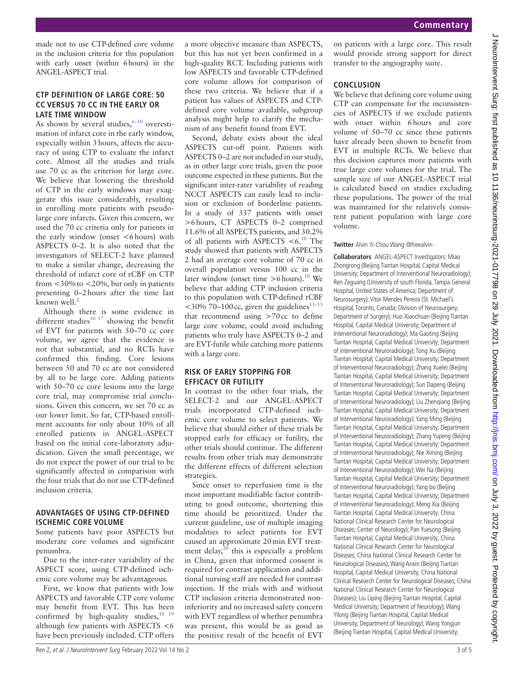made not to use CTP-defined core volume in the inclusion criteria for this population with early onset (within 6hours) in the ANGEL-ASPECT trial.

#### **CTP definition of large core: 50 cc versus 70 cc in the early or late time window**

As shown by several studies,  $6-10$  overestimation of infarct core in the early window, especially within 3hours, affects the accuracy of using CTP to evaluate the infarct core. Almost all the studies and trials use 70 cc as the criterion for large core. We believe that lowering the threshold of CTP in the early windows may exaggerate this issue considerably, resulting in enrolling more patients with pseudolarge core infarcts. Given this concern, we used the 70 cc criteria only for patients in the early window (onset <6hours) with ASPECTS 0–2. It is also noted that the investigators of SELECT-2 have planned to make a similar change, decreasing the threshold of infarct core of rCBF on CTP from  $<30\%$  to  $<20\%$ , but only in patients presenting 0–2hours after the time last known well.<sup>2</sup>

Although there is some evidence in different studies<sup>16 17</sup> showing the benefit of EVT for patients with 50–70 cc core volume, we agree that the evidence is not that substantial, and no RCTs have confirmed this finding. Core lesions between 50 and 70 cc are not considered by all to be large core. Adding patients with 50–70 cc core lesions into the large core trial, may compromise trial conclusions. Given this concern, we set 70 cc as our lower limit. So far, CTP-based enrollment accounts for only about 10% of all enrolled patients in ANGEL-ASPECT based on the initial core-laboratory adjudication. Given the small percentage, we do not expect the power of our trial to be significantly affected in comparison with the four trials that do not use CTP-defined inclusion criteria.

#### **Advantages of using CTP-defined ischemic core volume**

Some patients have poor ASPECTS but moderate core volumes and significant penumbra.

Due to the inter-rater variability of the ASPECT score, using CTP-defined ischemic core volume may be advantageous.

First, we know that patients with low ASPECTS and favorable CTP core volume may benefit from EVT. This has been confirmed by high-quality studies,  $18^{18}$ although few patients with ASPECTS <6 have been previously included. CTP offers a more objective measure than ASPECTS, but this has not yet been confirmed in a high-quality RCT. Including patients with low ASPECTS and favorable CTP-defined core volume allows for comparison of these two criteria. We believe that if a patient has values of ASPECTS and CTPdefined core volume available, subgroup analysis might help to clarify the mechanism of any benefit found from EVT.

Second, debate exists about the ideal ASPECTS cut-off point. Patients with ASPECTS 0–2 are not included in our study, as in other large core trials, given the poor outcome expected in these patients. But the significant inter-rater variability of reading NCCT ASPECTS can easily lead to inclusion or exclusion of borderline patients. In a study of 337 patients with onset >6hours, CT ASPECTS 0–2 comprised 11.6% of all ASPECTS patients, and 30.2% of all patients with ASPECTS  $<6.10$  The study showed that patients with ASPECTS 2 had an average core volume of 70 cc in overall population versus 100 cc in the later window (onset time  $>6$  hours).<sup>10</sup> We believe that adding CTP inclusion criteria to this population with CTP-defined rCBF  $<$ 30% 70–100 cc, given the guidelines<sup>13–15</sup> that recommend using  $>70$ cc to define large core volume, could avoid including patients who truly have ASPECTS 0–2 and are EVT-futile while catching more patients with a large core.

#### **Risk of early stopping for efficacy or futility**

In contrast to the other four trials, the SELECT-2 and our ANGEL-ASPECT trials incorporated CTP-defined ischemic core volume to select patients. We believe that should either of these trials be stopped early for efficacy or futility, the other trials should continue. The different results from other trials may demonstrate the different effects of different selection strategies.

Since onset to reperfusion time is the most important modifiable factor contributing to good outcome, shortening this time should be prioritized. Under the current guideline, use of multiple imaging modalities to select patients for EVT caused an approximate 20min EVT treatment delay, $20$  this is especially a problem in China, given that informed consent is required for contrast application and additional nursing staff are needed for contrast injection. If the trials with and without CTP inclusion criteria demonstrated noninferiority and no increased safety concern with EVT regardless of whether penumbra was present, this would be as good as the positive result of the benefit of EVT

Ren Z, et al. J NeuroIntervent Surg February 2022 Vol 14 No 2 3 of 5

on patients with a large core. This result would provide strong support for direct transfer to the angiography suite.

## **Conclusion**

We believe that defining core volume using CTP can compensate for the inconsistencies of ASPECTS if we exclude patients with onset within 6hours and core volume of 50–70 cc since these patients have already been shown to benefit from EVT in multiple RCTs. We believe that this decision captures more patients with true large core volumes for the trial. The sample size of our ANGEL-ASPECT trial is calculated based on studies excluding these populations. The power of the trial was maintained for the relatively consistent patient population with large core volume.

#### **Twitter** Alvin Yi-Chou Wang @freealvin

**Collaborators** ANGEL-ASPECT Investigators: Miao Zhongrong (Beijing Tiantan Hospital, Capital Medical University; Department of Interventional Neuroradiology); Ren Zeguang (University of south Florida, Tampa General Hospital, United States of America; Department of Neurosurgery); Vitor Mendes Pereira (St. Michael's Hospital, Toronto, Canada; Division of Neurosurgery, Department of Surgery); Huo Xiaochuan (Beijing Tiantan Hospital, Capital Medical University; Department of Interventional Neuroradiology); Ma Gaoting (Beijing Tiantan Hospital, Capital Medical University; Department of Interventional Neuroradiology); Tong Xu (Beijing Tiantan Hospital, Capital Medical University; Department of Interventional Neuroradiology); Zhang Xuelei (Beijing Tiantan Hospital, Capital Medical University; Department of Interventional Neuroradiology); Sun Dapeng (Beijing Tiantan Hospital, Capital Medical University; Department of Interventional Neuroradiology); Liu Zhenqiang (Beijing Tiantan Hospital, Capital Medical University; Department of Interventional Neuroradiology); Yang Ming (Beijing Tiantan Hospital, Capital Medical University; Department of Interventional Neuroradiology); Zhang Yupeng (Beijing Tiantan Hospital, Capital Medical University; Department of Interventional Neuroradiology); Nie Ximing (Beijing Tiantan Hospital, Capital Medical University; Department of Interventional Neuroradiology); Wei Na (Beijing Tiantan Hospital, Capital Medical University; Department of Interventional Neuroradiology); Yang bo (Beijing Tiantan Hospital, Capital Medical University; Department of Interventional Neuroradiology); Meng Xia (Beijing Tiantan Hospital, Capital Medical University, China National Clinical Research Center for Neurological Diseases; Center of Neurology); Pan Yuesong (Beijing Tiantan Hospital, Capital Medical University, China National Clinical Research Center for Neurological Diseases; China National Clinical Research Center for Neurological Diseases); Wang Anxin (Beijing Tiantan Hospital, Capital Medical University, China National Clinical Research Center for Neurological Diseases; China National Clinical Research Center for Neurological Diseases); Liu Liping (Beijing Tiantan Hospital, Capital Medical University; Department of Neurology); Wang Yilong (Beijing Tiantan Hospital, Capital Medical University; Department of Neurology); Wang Yongjun (Beijing Tiantan Hospital, Capital Medical University;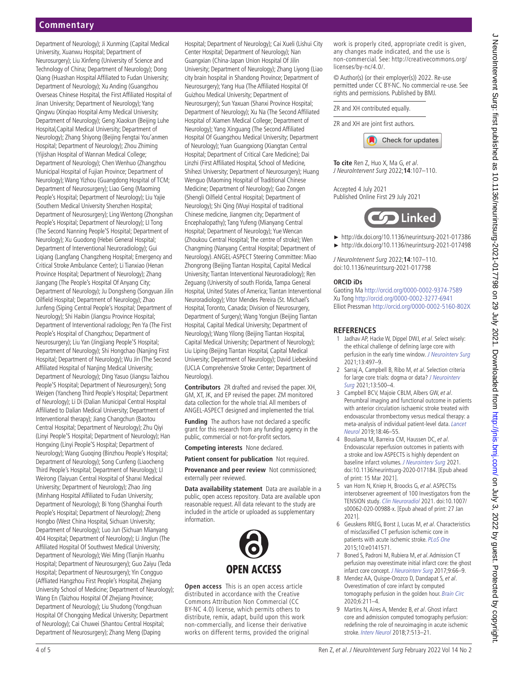Department of Neurology); Ji Xunming (Capital Medical University, Xuanwu Hospital; Department of Neurosurgery); Liu Xinfeng (University of Science and Technology of China; Department of Neurology); Dong Qiang (Huashan Hospital Affiliated to Fudan University; Department of Neurology); Xu Anding (Guangzhou Overseas Chinese Hospital, the First Affiliated Hospital of Jinan University; Department of Neurology); Yang Qingwu (Xinqiao Hospital Army Medical University; Department of Neurology); Geng Xiaokun (Beijing Luhe Hospital,Capital Medical University; Department of Neurology); Zhang Shiyong (Beijing Fengtai You'anmen Hospital; Department of Neurology); Zhou Zhiming (Yijishan Hospital of Wannan Medical College; Department of Neurology); Chen Wenhuo (Zhangzhou Municipal Hospital of Fujian Province; Department of Neurology); Wang Yizhou (Guangdong Hospital of TCM; Department of Neurosurgery); Liao Geng (Maoming People's Hospital; Department of Neurology); Liu Yajie (Southern Medical University Shenzhen Hospital; Department of Neurosurgery); Ling Wentong (Zhongshan People's Hospital; Department of Neurology); LI Tong (The Second Nanning People'S Hospital; Department of Neurology); Xu Guodong (Hebei General Hospital; Department of Interventional Neuroradiology); Gui Liqiang (Langfang Changzheng Hospital; Emergency and Critical Stroke Ambulance Center); Li Tianxiao (Henan Province Hospital; Department of Neurology); Zhang Jiangang (The People's Hospital Of Anyang City; Department of Neurology); Ju Dongsheng (Songyuan Jilin Oilfield Hospital; Department of Neurology); Zhao Junfeng (Siping Central People's Hospital; Department of Neurology); Shi Haibin (Jiangsu Province Hospital; Department of Interventional radiology; Pen Ya (The First People's Hospital of Changzhou; Department of Neurosurgery); Liu Yan (Jingjiang People'S Hospital; Department of Neurology); Shi Hongchao (Nanjing First Hospital; Department of Neurology); Wu Jin (The Second Affiliated Hospital of Nanjing Medical University; Department of Neurology); Ding Yasuo (Jiangsu Taizhou People'S Hospital; Department of Neurosurgery); Song Weigen (Yancheng Third People's Hospital; Department of Neurology); Li Di (Dalian Municipal Central Hospital Affiliated to Dalian Medical University; Department of Interventional therapy); Jiang Changchun (Baotou Central Hospital; Department of Neurology); Zhu Qiyi (Linyi People'S Hospital; Department of Neurology); Han Hongxing (Linyi People'S Hospital; Department of Neurology); Wang Guoqing (Binzhou People's Hospital; Department of Neurology); Song Cunfeng (Liaocheng Third People's Hospital; Department of Neurology); LI Weirong (Taiyuan Central Hospital of Shanxi Medical University; Department of Neurology); Zhao Jing (Minhang Hospital Affiliated to Fudan University; Department of Neurology); Bi Yong (Shanghai Fourth People's Hospital; Department of Neurology); Zheng Hongbo (West China Hospital, Sichuan University; Department of Neurology); Luo Jun (Sichuan Mianyang 404 Hospital; Department of Neurology); Li Jinglun (The Affiliated Hospital Of Southwest Medical University; Department of Neurology); Wei Ming (Tianjin Huanhu Hospital; Department of Neurosurgery); Guo Zaiyu (Teda Hospital; Department of Neurosurgery); Yin Congguo (Affliated Hangzhou First People's Hospital, Zhejiang University School of Medicine; Department of Neurology); Wang En (Taizhou Hospital Of Zhejiang Province; Department of Neurology); Liu Shudong (Yongchuan Hospital Of Chongqing Medical University; Department of Neurology); Cai Chuwei (Shantou Central Hospital; Department of Neurosurgery); Zhang Meng (Daping

Hospital; Department of Neurology); Cai Xueli (Lishui City Center Hospital; Department of Neurology); Nan Guangxian (China-Japan Union Hospital Of Jilin University; Department of Neurology); Zhang Liyong (Liao city brain hospital in Shandong Province; Department of Neurosurgery); Yang Hua (The Affiliated Hospital Of Guizhou Medical University; Department of Neurosurgery); Sun Yaxuan (Shanxi Province Hospital; Department of Neurology); Xu Na (The Second Affiliated Hospital of Xiamen Medical College; Department of Neurology); Yang Xinguang (The Second Affiliated Hospital Of Guangzhou Medical University; Department of Neurology); Yuan Guangxiong (Xiangtan Central Hospital; Department of Critical Care Medicine); Dai Linzhi (First Affiliated Hospital, School of Medicine, Shihezi University; Department of Neurosurgery); Huang Wenguo (Maoming Hospital of Traditional Chinese Medicine; Department of Neurology); Gao Zongen (Shengli Oilfield Central Hospital; Department of Neurology); Shi Qing (Wuyi Hospital of traditional Chinese medicine, Jiangmen city; Department of Encephalopathy); Tang Yufeng (Mianyang Central Hospital; Department of Neurology); Yue Wencan (Zhoukou Central Hospital; The centre of stroke); Wen Changming (Nanyang Central Hospital; Department of Neurology). ANGEL-ASPECT Steering Committee: Miao Zhongrong (Beijing Tiantan Hospital, Capital Medical University; Tiantan Interventional Neuroradiology); Ren Zeguang (University of south Florida, Tampa General Hospital, United States of America; Tiantan Interventional Neuroradiology); Vitor Mendes Pereira (St. Michael's Hospital, Toronto, Canada; Division of Neurosurgery, Department of Surgery); Wang Yongjun (Beijing Tiantan Hospital, Capital Medical University; Department of Neurology); Wang Yilong (Beijing Tiantan Hospital, Capital Medical University; Department of Neurology); Liu Liping (Beijing Tiantan Hospital, Capital Medical University; Department of Neurology); David Liebeskind (UCLA Comprehensive Stroke Center; Department of Neurology).

**Contributors** ZR drafted and revised the paper. XH, GM, XT, JK, and EP revised the paper. ZM monitored data collection for the whole trial. All members of ANGEL-ASPECT designed and implemented the trial.

**Funding** The authors have not declared a specific grant for this research from any funding agency in the public, commercial or not-for-profit sectors.

**Competing interests** None declared.

**Patient consent for publication** Not required.

**Provenance and peer review** Not commissioned; externally peer reviewed.

**Data availability statement** Data are available in a public, open access repository. Data are available upon reasonable request. All data relevant to the study are included in the article or uploaded as supplementary information.



**Open access** This is an open access article distributed in accordance with the Creative Commons Attribution Non Commercial (CC BY-NC 4.0) license, which permits others to distribute, remix, adapt, build upon this work non-commercially, and license their derivative works on different terms, provided the original work is properly cited, appropriate credit is given, any changes made indicated, and the use is non-commercial. See: http://creativecommons.org/ licenses/by-nc/4.0/.

© Author(s) (or their employer(s)) 2022. Re-use permitted under CC BY-NC. No commercial re-use. See rights and permissions. Published by BMJ.

#### ZR and XH contributed equally.

ZR and XH are joint first authors.



**To cite** Ren Z, Huo X, Ma G, et al. J NeuroIntervent Surg 2022;**14**:107–110.

Accepted 4 July 2021 Published Online First 29 July 2021



- ► http://dx.doi.org/10.1136/neurintsurg-2021-017386
- ► http://dx.doi.org/10.1136/neurintsurg-2021-017498

J NeuroIntervent Surg 2022;**14**:107–110. doi:10.1136/neurintsurg-2021-017798

#### **ORCID iDs**

Gaoting Ma http://orcid.org/0000-0002-9374-7589 Xu Tong http://orcid.org/0000-0002-3277-6941 Elliot Pressman http://orcid.org/0000-0002-5160-802X

#### **References**

- Jadhav AP, Hacke W, Dippel DWJ, et al. Select wisely: the ethical challenge of defining large core with perfusion in the early time window. [J Neurointerv Surg](http://dx.doi.org/10.1136/neurintsurg-2021-017386) 2021;13:497–9.
- 2 Sarraj A, Campbell B, Ribo M, et al. Selection criteria for large core trials: dogma or data? [J Neurointerv](http://dx.doi.org/10.1136/neurintsurg-2021-017498)  [Surg](http://dx.doi.org/10.1136/neurintsurg-2021-017498) 2021;13:500–4.
- 3 Campbell BCV, Majoie CBLM, Albers GW, et al. Penumbral imaging and functional outcome in patients with anterior circulation ischaemic stroke treated with endovascular thrombectomy versus medical therapy: a meta-analysis of individual patient-level data. [Lancet](http://dx.doi.org/10.1016/S1474-4422(18)30314-4)  [Neurol](http://dx.doi.org/10.1016/S1474-4422(18)30314-4) 2019;18:46–55.
- 4 Bouslama M, Barreira CM, Haussen DC, et al. Endovascular reperfusion outcomes in patients with a stroke and low ASPECTS is highly dependent on baseline infarct volumes. [J Neurointerv Surg](http://dx.doi.org/10.1136/neurintsurg-2020-017184) 2021. doi:10.1136/neurintsurg-2020-017184. [Epub ahead of print: 15 Mar 2021].
- 5 van Horn N, Kniep H, Broocks G, et al. ASPECTSs interobserver agreement of 100 Investigators from the TENSION study. [Clin Neuroradiol](http://dx.doi.org/10.1007/s00062-020-00988-x) 2021. doi:10.1007/ s00062-020-00988-x. [Epub ahead of print: 27 Jan 2021].
- 6 Geuskens RREG, Borst J, Lucas M, et al. Characteristics of misclassified CT perfusion ischemic core in patients with acute ischemic stroke. [PLoS One](http://dx.doi.org/10.1371/journal.pone.0141571) 2015;10:e0141571.
- 7 Boned S, Padroni M, Rubiera M, et al. Admission CT perfusion may overestimate initial infarct core: the ghost infarct core concept. [J Neurointerv Surg](http://dx.doi.org/10.1136/neurintsurg-2016-012494) 2017;9:66–9.
- 8 Mendez AA, Quispe-Orozco D, Dandapat S, et al. Overestimation of core infarct by computed tomography perfusion in the golden hour. [Brain Circ](http://dx.doi.org/10.4103/bc.bc_7_20) 2020;6:211–4.
- 9 Martins N, Aires A, Mendez B, et al. Ghost infarct core and admission computed tomography perfusion: redefining the role of neuroimaging in acute ischemic stroke. [Interv Neurol](http://dx.doi.org/10.1159/000490117) 2018;7:513–21.